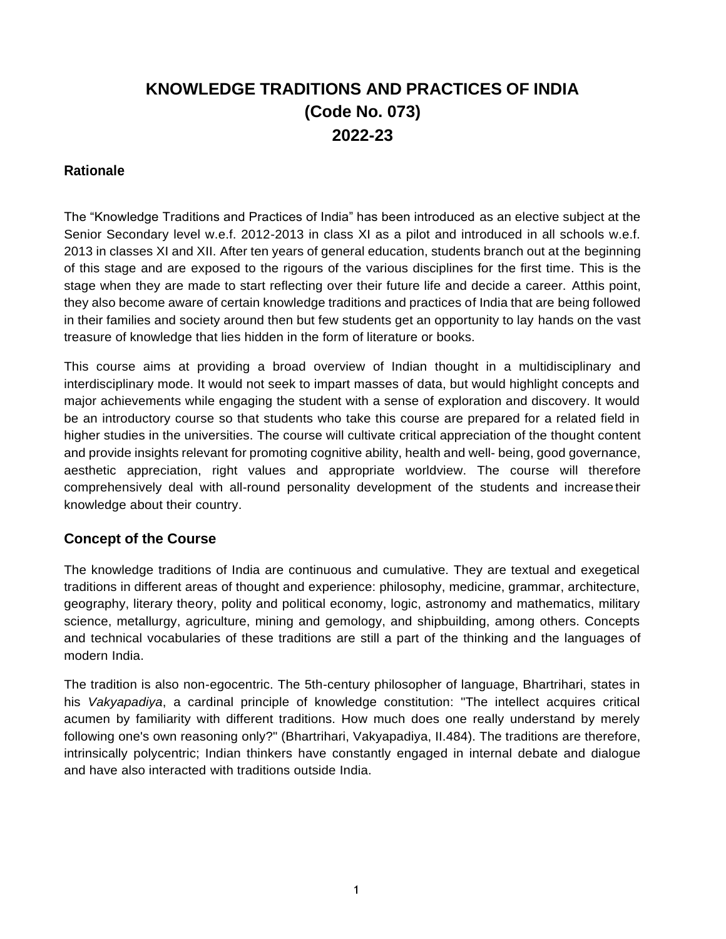# **KNOWLEDGE TRADITIONS AND PRACTICES OF INDIA (Code No. 073) 2022-23**

# **Rationale**

The "Knowledge Traditions and Practices of India" has been introduced as an elective subject at the Senior Secondary level w.e.f. 2012-2013 in class XI as a pilot and introduced in all schools w.e.f. 2013 in classes XI and XII. After ten years of general education, students branch out at the beginning of this stage and are exposed to the rigours of the various disciplines for the first time. This is the stage when they are made to start reflecting over their future life and decide a career. Atthis point, they also become aware of certain knowledge traditions and practices of India that are being followed in their families and society around then but few students get an opportunity to lay hands on the vast treasure of knowledge that lies hidden in the form of literature or books.

This course aims at providing a broad overview of Indian thought in a multidisciplinary and interdisciplinary mode. It would not seek to impart masses of data, but would highlight concepts and major achievements while engaging the student with a sense of exploration and discovery. It would be an introductory course so that students who take this course are prepared for a related field in higher studies in the universities. The course will cultivate critical appreciation of the thought content and provide insights relevant for promoting cognitive ability, health and well- being, good governance, aesthetic appreciation, right values and appropriate worldview. The course will therefore comprehensively deal with all-round personality development of the students and increasetheir knowledge about their country.

# **Concept of the Course**

The knowledge traditions of India are continuous and cumulative. They are textual and exegetical traditions in different areas of thought and experience: philosophy, medicine, grammar, architecture, geography, literary theory, polity and political economy, logic, astronomy and mathematics, military science, metallurgy, agriculture, mining and gemology, and shipbuilding, among others. Concepts and technical vocabularies of these traditions are still a part of the thinking and the languages of modern India.

The tradition is also non-egocentric. The 5th-century philosopher of language, Bhartrihari, states in his *Vakyapadiya*, a cardinal principle of knowledge constitution: "The intellect acquires critical acumen by familiarity with different traditions. How much does one really understand by merely following one's own reasoning only?" (Bhartrihari, Vakyapadiya, II.484). The traditions are therefore, intrinsically polycentric; Indian thinkers have constantly engaged in internal debate and dialogue and have also interacted with traditions outside India.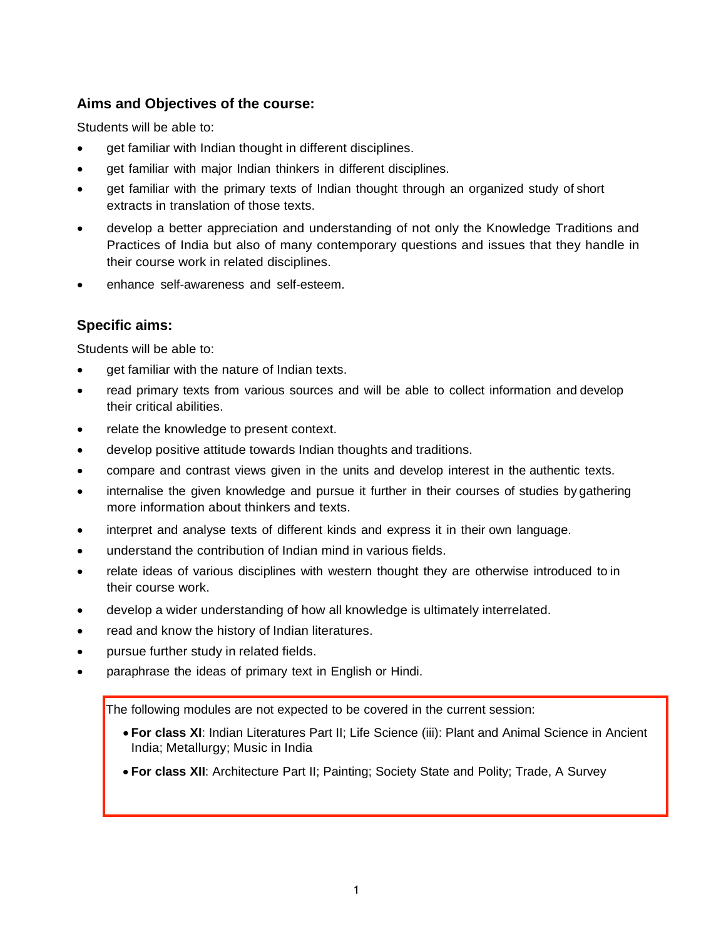# **Aims and Objectives of the course:**

Students will be able to:

- get familiar with Indian thought in different disciplines.
- **•** get familiar with major Indian thinkers in different disciplines.
- get familiar with the primary texts of Indian thought through an organized study of short extracts in translation of those texts.
- develop a better appreciation and understanding of not only the Knowledge Traditions and Practices of India but also of many contemporary questions and issues that they handle in their course work in related disciplines.
- enhance self-awareness and self-esteem.

# **Specific aims:**

Students will be able to:

- get familiar with the nature of Indian texts.
- read primary texts from various sources and will be able to collect information and develop their critical abilities.
- relate the knowledge to present context.
- develop positive attitude towards Indian thoughts and traditions.
- compare and contrast views given in the units and develop interest in the authentic texts.
- internalise the given knowledge and pursue it further in their courses of studies by gathering more information about thinkers and texts.
- interpret and analyse texts of different kinds and express it in their own language.
- understand the contribution of Indian mind in various fields.
- relate ideas of various disciplines with western thought they are otherwise introduced to in their course work.
- develop a wider understanding of how all knowledge is ultimately interrelated.
- read and know the history of Indian literatures.
- pursue further study in related fields.
- paraphrase the ideas of primary text in English or Hindi.

The following modules are not expected to be covered in the current session:

- **For class XI**: Indian Literatures Part II; Life Science (iii): Plant and Animal Science in Ancient India; Metallurgy; Music in India
- **For class XII**: Architecture Part II; Painting; Society State and Polity; Trade, A Survey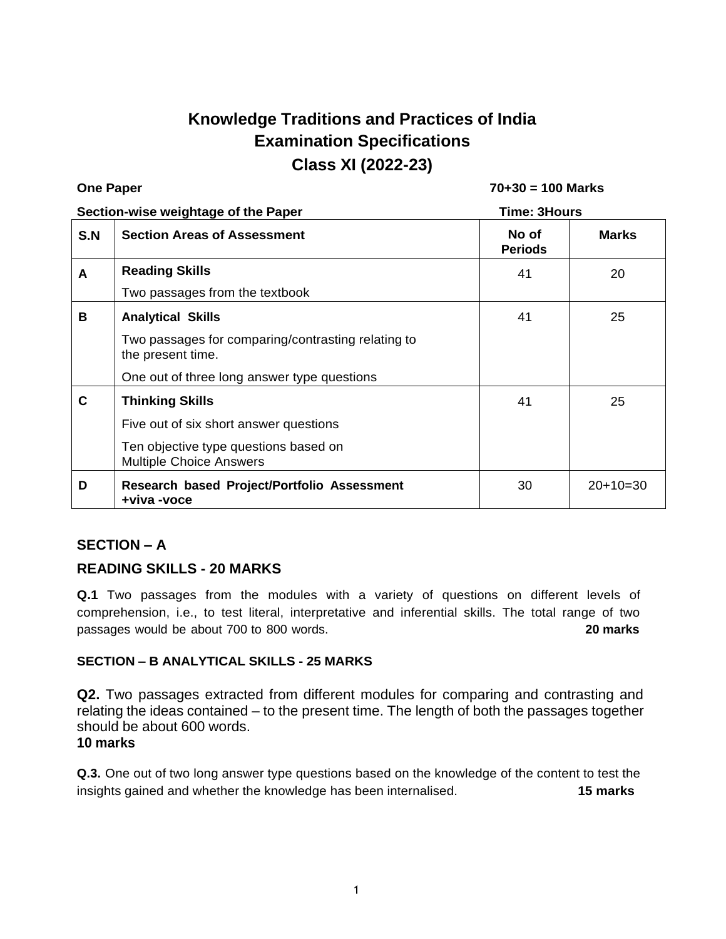# **Knowledge Traditions and Practices of India Examination Specifications Class XI (2022-23)**

| <b>One Paper</b>                    |                                                                         | $70+30 = 100$ Marks     |              |
|-------------------------------------|-------------------------------------------------------------------------|-------------------------|--------------|
| Section-wise weightage of the Paper |                                                                         | Time: 3Hours            |              |
| S.N                                 | <b>Section Areas of Assessment</b>                                      | No of<br><b>Periods</b> | <b>Marks</b> |
| A                                   | <b>Reading Skills</b>                                                   | 41                      | 20           |
|                                     | Two passages from the textbook                                          |                         |              |
| B                                   | <b>Analytical Skills</b>                                                | 41                      | 25           |
|                                     | Two passages for comparing/contrasting relating to<br>the present time. |                         |              |
|                                     | One out of three long answer type questions                             |                         |              |
| C                                   | <b>Thinking Skills</b>                                                  | 41                      | 25           |
|                                     | Five out of six short answer questions                                  |                         |              |
|                                     | Ten objective type questions based on<br><b>Multiple Choice Answers</b> |                         |              |
| D                                   | Research based Project/Portfolio Assessment<br>+viva -voce              | 30                      | $20+10=30$   |

# **SECTION – A**

# **READING SKILLS - 20 MARKS**

**Q.1** Two passages from the modules with a variety of questions on different levels of comprehension, i.e., to test literal, interpretative and inferential skills. The total range of two passages would be about 700 to 800 words. **20 marks**

### **SECTION – B ANALYTICAL SKILLS - 25 MARKS**

**Q2.** Two passages extracted from different modules for comparing and contrasting and relating the ideas contained – to the present time. The length of both the passages together should be about 600 words.

### **10 marks**

**Q.3.** One out of two long answer type questions based on the knowledge of the content to test the insights gained and whether the knowledge has been internalised. **15 marks**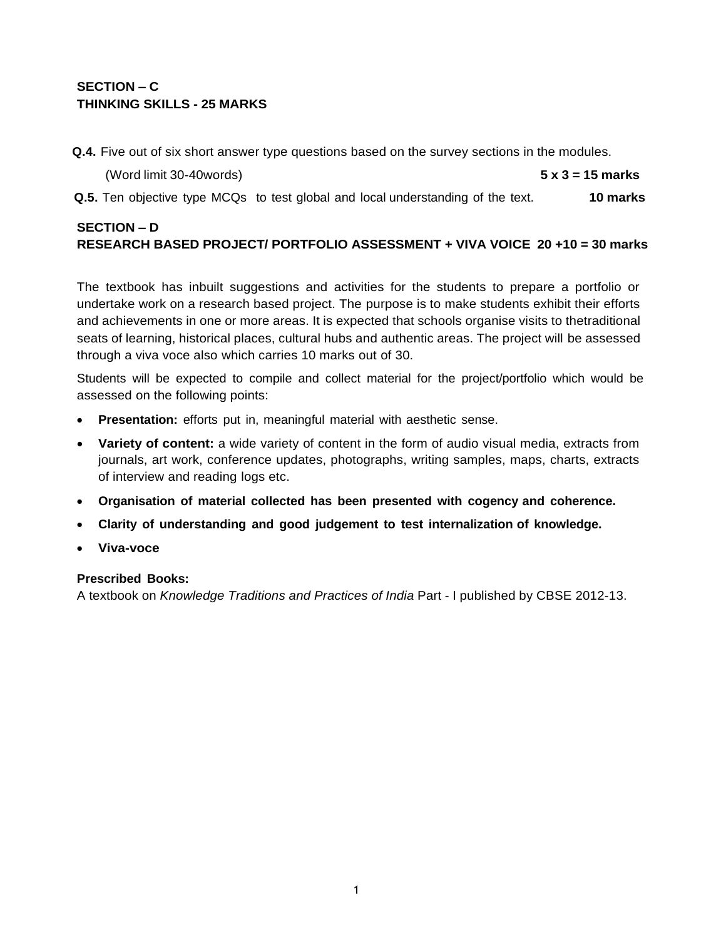# **SECTION – C THINKING SKILLS - 25 MARKS**

**Q.4.** Five out of six short answer type questions based on the survey sections in the modules.

| (Word limit 30-40words) | $5 \times 3 = 15$ marks |
|-------------------------|-------------------------|
|-------------------------|-------------------------|

**Q.5.** Ten objective type MCQs to test global and local understanding of the text. **10 marks**

# **SECTION – D RESEARCH BASED PROJECT/ PORTFOLIO ASSESSMENT + VIVA VOICE 20 +10 = 30 marks**

The textbook has inbuilt suggestions and activities for the students to prepare a portfolio or undertake work on a research based project. The purpose is to make students exhibit their efforts and achievements in one or more areas. It is expected that schools organise visits to thetraditional seats of learning, historical places, cultural hubs and authentic areas. The project will be assessed through a viva voce also which carries 10 marks out of 30.

Students will be expected to compile and collect material for the project/portfolio which would be assessed on the following points:

- **Presentation:** efforts put in, meaningful material with aesthetic sense.
- **Variety of content:** a wide variety of content in the form of audio visual media, extracts from journals, art work, conference updates, photographs, writing samples, maps, charts, extracts of interview and reading logs etc.
- **Organisation of material collected has been presented with cogency and coherence.**
- **Clarity of understanding and good judgement to test internalization of knowledge.**
- **Viva-voce**

### **Prescribed Books:**

A textbook on *Knowledge Traditions and Practices of India* Part - I published by CBSE 2012-13.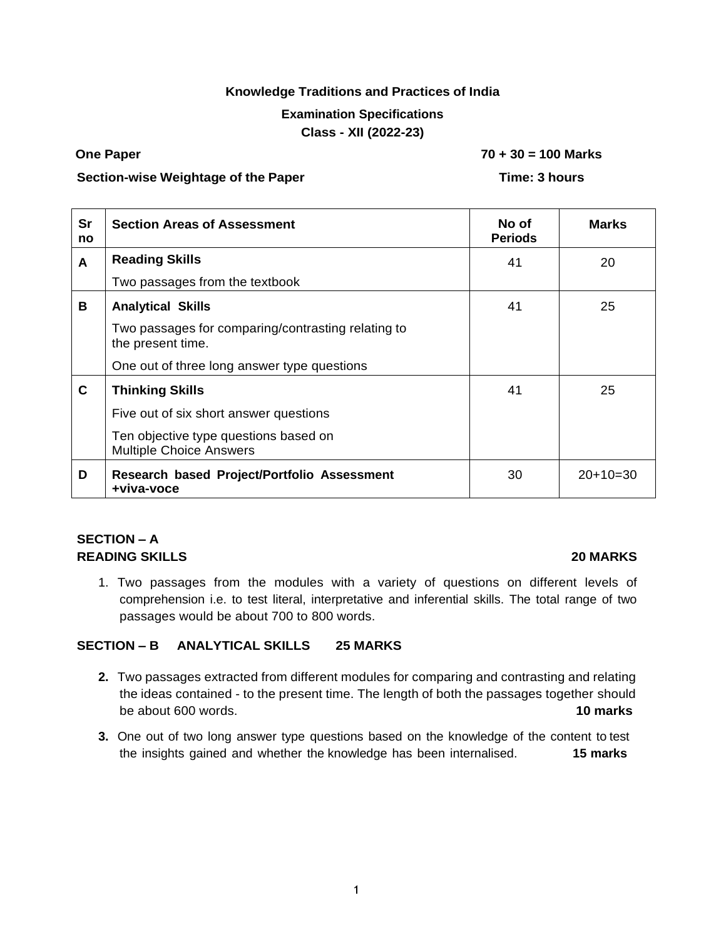### **Knowledge Traditions and Practices of India**

### **Examination Specifications**

### **Class - XII (2022-23)**

**One Paper 70 + 30 = 100 Marks**

### **Section-wise Weightage of the Paper Time: 3 hours**

| <b>Sr</b><br>no | <b>Section Areas of Assessment</b>                                      | No of<br><b>Periods</b> | <b>Marks</b> |
|-----------------|-------------------------------------------------------------------------|-------------------------|--------------|
| A               | <b>Reading Skills</b>                                                   | 41                      | 20           |
|                 | Two passages from the textbook                                          |                         |              |
| B               | <b>Analytical Skills</b>                                                | 41                      | 25           |
|                 | Two passages for comparing/contrasting relating to<br>the present time. |                         |              |
|                 | One out of three long answer type questions                             |                         |              |
| $\mathbf c$     | <b>Thinking Skills</b>                                                  | 41                      | 25           |
|                 | Five out of six short answer questions                                  |                         |              |
|                 | Ten objective type questions based on<br><b>Multiple Choice Answers</b> |                         |              |
| D               | Research based Project/Portfolio Assessment<br>+viva-voce               | 30                      | $20+10=30$   |

# **SECTION – A READING SKILLS 20 MARKS**

1. Two passages from the modules with a variety of questions on different levels of comprehension i.e. to test literal, interpretative and inferential skills. The total range of two passages would be about 700 to 800 words.

### **SECTION – B ANALYTICAL SKILLS 25 MARKS**

- **2.** Two passages extracted from different modules for comparing and contrasting and relating the ideas contained - to the present time. The length of both the passages together should be about 600 words. **10 marks**
- **3.** One out of two long answer type questions based on the knowledge of the content to test the insights gained and whether the knowledge has been internalised. **15 marks**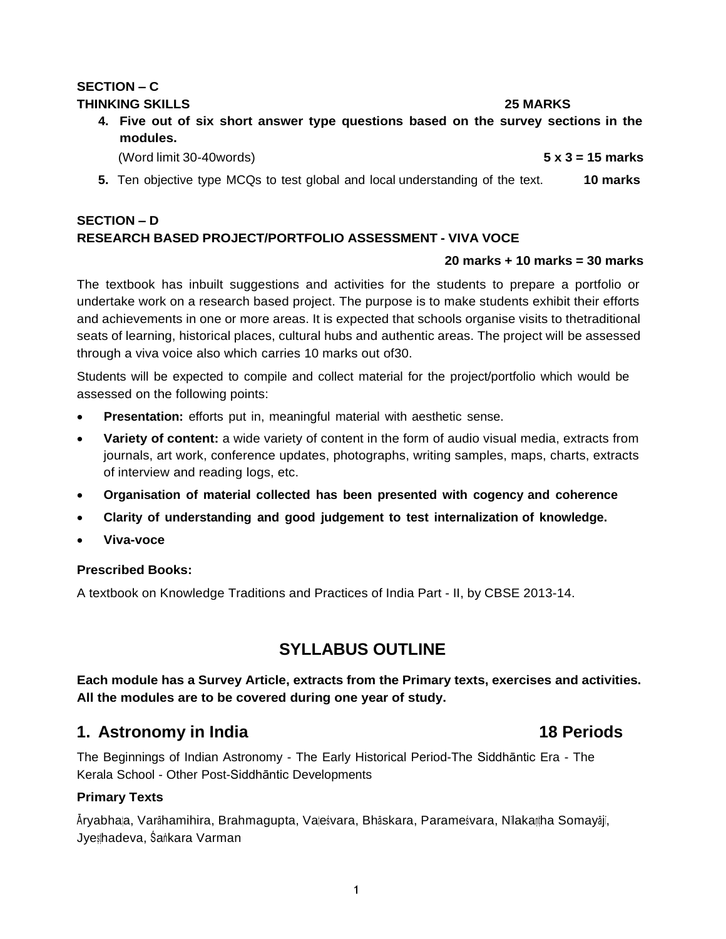### **SECTION – C THINKING SKILLS 25 MARKS**

**4. Five out of six short answer type questions based on the survey sections in the modules.**

(Word limit 30-40words) **5 x 3 = 15 marks**

**5.** Ten objective type MCQs to test global and local understanding of the text. **10 marks**

### **SECTION – D RESEARCH BASED PROJECT/PORTFOLIO ASSESSMENT - VIVA VOCE**

### **20 marks + 10 marks = 30 marks**

The textbook has inbuilt suggestions and activities for the students to prepare a portfolio or undertake work on a research based project. The purpose is to make students exhibit their efforts and achievements in one or more areas. It is expected that schools organise visits to thetraditional seats of learning, historical places, cultural hubs and authentic areas. The project will be assessed through a viva voice also which carries 10 marks out of30.

Students will be expected to compile and collect material for the project/portfolio which would be assessed on the following points:

- **Presentation:** efforts put in, meaningful material with aesthetic sense.
- **Variety of content:** a wide variety of content in the form of audio visual media, extracts from journals, art work, conference updates, photographs, writing samples, maps, charts, extracts of interview and reading logs, etc.
- **Organisation of material collected has been presented with cogency and coherence**
- **Clarity of understanding and good judgement to test internalization of knowledge.**
- **Viva-voce**

### **Prescribed Books:**

A textbook on Knowledge Traditions and Practices of India Part - II, by CBSE 2013-14.

# **SYLLABUS OUTLINE**

**Each module has a Survey Article, extracts from the Primary texts, exercises and activities. All the modules are to be covered during one year of study.**

# **1. Astronomy in India 18 Periods**

The Beginnings of Indian Astronomy - The Early Historical Period-The Siddhāntic Era - The Kerala School - Other Post-Siddhāntic Developments

### **Primary Texts**

Āryabhaṭa, Varāhamihira, Brahmagupta, Vaṭeṣvara, Bhāskara, Parameṣvara, Nilakaṇṭha Somayājī, Jyeṣṭhadeva, Śaṅkara Varman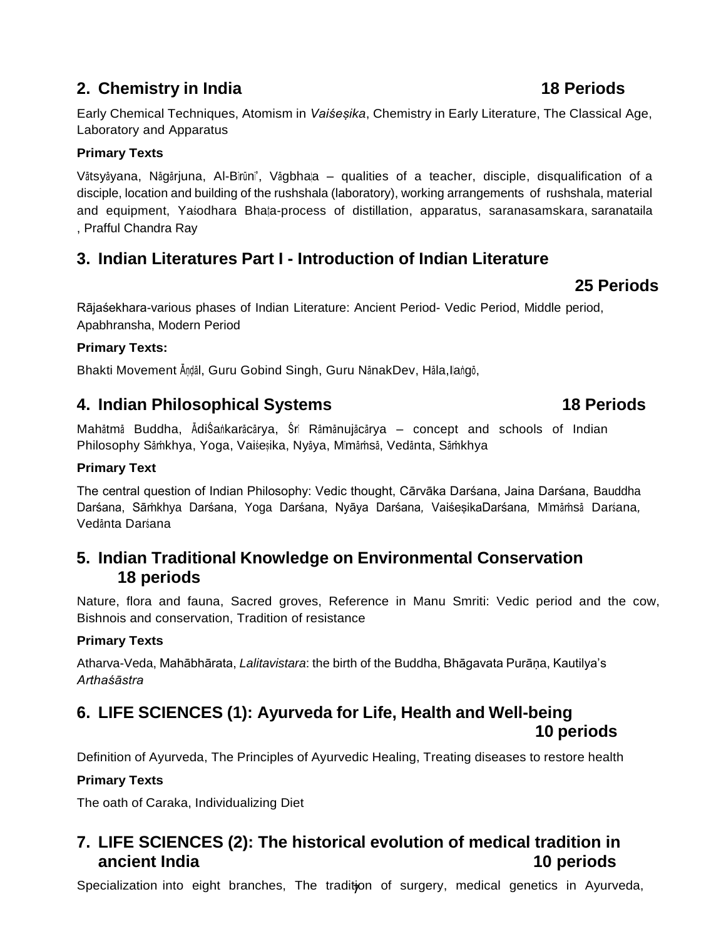# **2. Chemistry in India 18 Periods**

Early Chemical Techniques, Atomism in *Vaiśeṣika*, Chemistry in Early Literature, The Classical Age, Laboratory and Apparatus

# **Primary Texts**

Vātsyāyana, Nāgārjuna, Al-Birūni', Vāgbhaļa – qualities of a teacher, disciple, disqualification of a disciple, location and building of the rushshala (laboratory), working arrangements of rushshala, material and equipment, Yasodhara Bhata-process of distillation, apparatus, saranasamskara, saranataila , Prafful Chandra Ray

# **3. Indian Literatures Part I - Introduction of Indian Literature**

# **25 Periods**

Rājaśekhara-various phases of Indian Literature: Ancient Period- Vedic Period, Middle period, Apabhransha, Modern Period

# **Primary Texts:**

Bhakti Movement Āṇḍāl, Guru Gobind Singh, Guru NānakDev, Hāla,Ilaṅgō,

# **4. Indian Philosophical Systems 18 Periods**

Mahātmā Buddha, ĀdiŚaṅkarācārya, Śrī Rāmānujācārya – concept and schools of Indian Philosophy Sāṁkhya, Yoga, Vaiśeṣika, Nyāya, Mīmāṁsā, Vedānta, Sāṁkhya

## **Primary Text**

The central question of Indian Philosophy: Vedic thought, Cārvāka Darśana, Jaina Darśana, Bauddha Darśana, Sāṁkhya Darśana, Yoga Darśana, Nyāya Darśana*,* VaiśeṣikaDarśana*,* Mīmāṁsā Darśana*,* Vedānta Darśana

# **5. Indian Traditional Knowledge on Environmental Conservation 18 periods**

Nature, flora and fauna, Sacred groves, Reference in Manu Smriti: Vedic period and the cow, Bishnois and conservation, Tradition of resistance

# **Primary Texts**

Atharva-Veda, Mahābhārata, *Lalitavistara*: the birth of the Buddha, Bhāgavata Purāṇa, Kautilya's *Arthaśāstra*

# **6. LIFE SCIENCES (1): Ayurveda for Life, Health and Well-being 10 periods**

Definition of Ayurveda, The Principles of Ayurvedic Healing, Treating diseases to restore health

# **Primary Texts**

The oath of Caraka, Individualizing Diet

# **7. LIFE SCIENCES (2): The historical evolution of medical tradition in ancient India 10 periods**

Specialization into eight branches, The tradition of surgery, medical genetics in Ayurveda,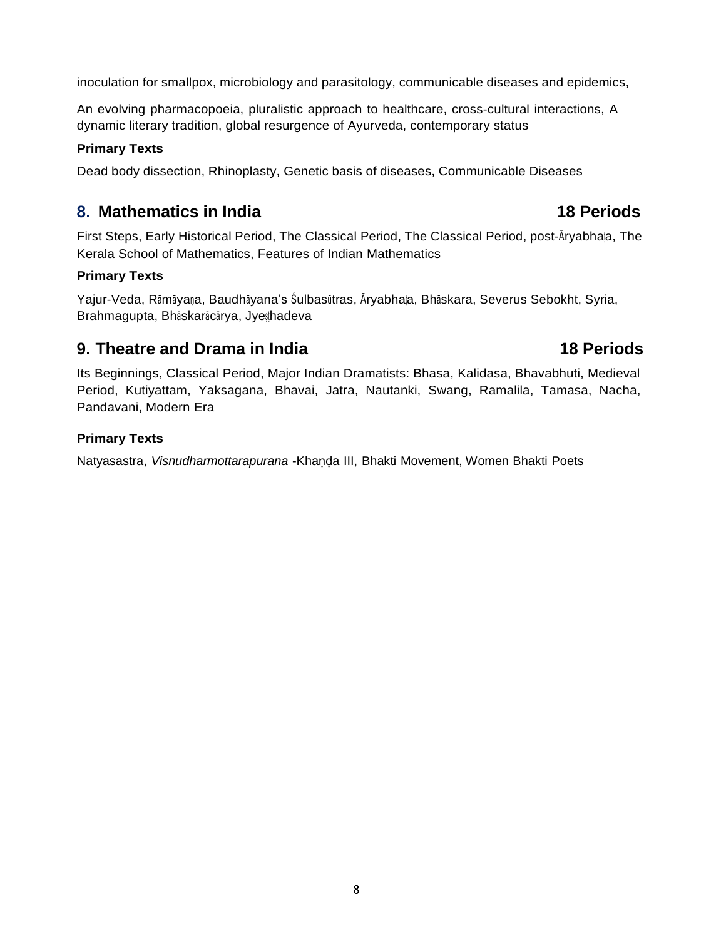inoculation for smallpox, microbiology and parasitology, communicable diseases and epidemics,

An evolving pharmacopoeia, pluralistic approach to healthcare, cross-cultural interactions, A dynamic literary tradition, global resurgence of Ayurveda, contemporary status

### **Primary Texts**

Dead body dissection, Rhinoplasty, Genetic basis of diseases, Communicable Diseases

# **8. Mathematics in India 18 Periods**

First Steps, Early Historical Period, The Classical Period, The Classical Period, post-Āryabhaṭa, The Kerala School of Mathematics, Features of Indian Mathematics

### **Primary Texts**

Yajur-Veda, Rāmāyaṇa, Baudhāyana's Śulbasūtras, Āryabhaṭa, Bhāskara, Severus Sebokht, Syria, Brahmagupta, Bhāskarācārya, Jyesthadeva

# **9. Theatre and Drama in India 18 Periods**

Its Beginnings, Classical Period, Major Indian Dramatists: Bhasa, Kalidasa, Bhavabhuti, Medieval Period, Kutiyattam, Yaksagana, Bhavai, Jatra, Nautanki, Swang, Ramalila, Tamasa, Nacha, Pandavani, Modern Era

### **Primary Texts**

Natyasastra, *Visnudharmottarapurana* -Khaṇḍa III, Bhakti Movement, Women Bhakti Poets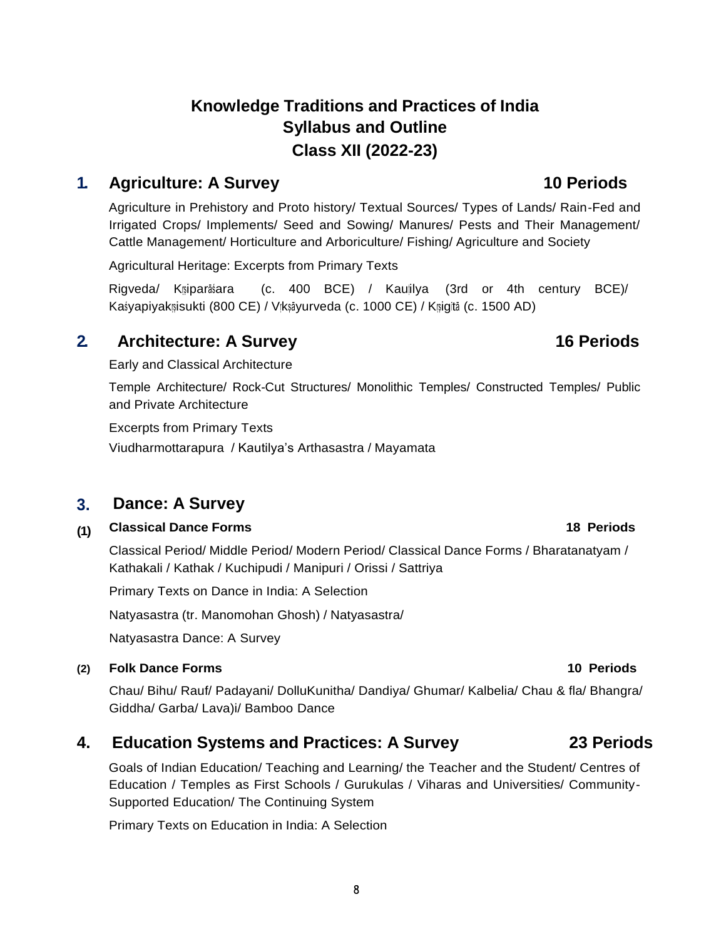# **Knowledge Traditions and Practices of India Syllabus and Outline Class XII (2022-23)**

# **1. Agriculture: A Survey 10 Periods**

Agriculture in Prehistory and Proto history/ Textual Sources/ Types of Lands/ Rain-Fed and Irrigated Crops/ Implements/ Seed and Sowing/ Manures/ Pests and Their Management/ Cattle Management/ Horticulture and Arboriculture/ Fishing/ Agriculture and Society

Agricultural Heritage: Excerpts from Primary Texts

Rigveda/ Kṛṣiparāśara (c. 400 BCE) / Kauṭilya (3rd or 4th century BCE)/ Kaśyapiyakrsisukti (800 CE) / Vrkṣāyurveda (c. 1000 CE) / Krsigitā (c. 1500 AD)

# **2. Architecture: A Survey 16 Periods**

Early and Classical Architecture

Temple Architecture/ Rock-Cut Structures/ Monolithic Temples/ Constructed Temples/ Public and Private Architecture

Excerpts from Primary Texts

Viudharmottarapura / Kautilya's Arthasastra / Mayamata

### **3. Dance: A Survey**

### **(1) Classical Dance Forms 18 Periods**

Classical Period/ Middle Period/ Modern Period/ Classical Dance Forms / Bharatanatyam / Kathakali / Kathak / Kuchipudi / Manipuri / Orissi / Sattriya

Primary Texts on Dance in India: A Selection

Natyasastra (tr. Manomohan Ghosh) / Natyasastra/

Natyasastra Dance: A Survey

# **(2) Folk Dance Forms 10 Periods**

Chau/ Bihu/ Rauf/ Padayani/ DolluKunitha/ Dandiya/ Ghumar/ Kalbelia/ Chau & fla/ Bhangra/ Giddha/ Garba/ Lava)i/ Bamboo Dance

# **4. Education Systems and Practices: A Survey 23 Periods**

Goals of Indian Education/ Teaching and Learning/ the Teacher and the Student/ Centres of Education / Temples as First Schools / Gurukulas / Viharas and Universities/ Community-Supported Education/ The Continuing System

Primary Texts on Education in India: A Selection